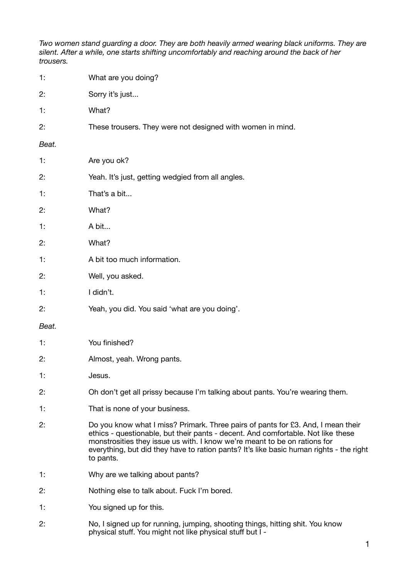*Two women stand guarding a door. They are both heavily armed wearing black uniforms. They are silent. After a while, one starts shifting uncomfortably and reaching around the back of her trousers.* 

- 1: What are you doing? 2: Sorry it's just... 1<sup>.</sup> What? 2: These trousers. They were not designed with women in mind. *Beat.*  1: Are you ok? 2: Yeah. It's just, getting wedgied from all angles.  $1:$  That's a bit... 2: What?  $1 \cdot$  A bit. 2: What? 1: A bit too much information. 2: Well, you asked. 1: I didn't. 2: Yeah, you did. You said 'what are you doing'. *Beat.*  1: **You finished?** 2: Almost, yeah. Wrong pants. 1: **Jesus.** 2: Oh don't get all prissy because I'm talking about pants. You're wearing them. 1: That is none of your business.
- 2: Do you know what I miss? Primark. Three pairs of pants for £3. And, I mean their ethics - questionable, but their pants - decent. And comfortable. Not like these monstrosities they issue us with. I know we're meant to be on rations for everything, but did they have to ration pants? It's like basic human rights - the right to pants.
- 1: Why are we talking about pants?
- 2: Nothing else to talk about. Fuck I'm bored.
- 1: You signed up for this.
- 2: No, I signed up for running, jumping, shooting things, hitting shit. You know physical stuff. You might not like physical stuff but I -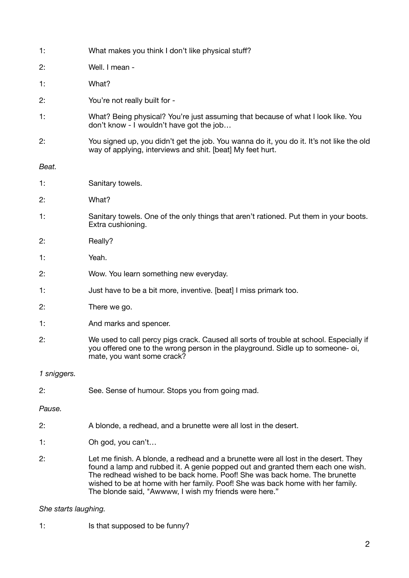| 1:          | What makes you think I don't like physical stuff?                                                                                                                                                                                                                                                                                                                                              |
|-------------|------------------------------------------------------------------------------------------------------------------------------------------------------------------------------------------------------------------------------------------------------------------------------------------------------------------------------------------------------------------------------------------------|
| 2:          | Well. I mean -                                                                                                                                                                                                                                                                                                                                                                                 |
| 1:          | What?                                                                                                                                                                                                                                                                                                                                                                                          |
| 2:          | You're not really built for -                                                                                                                                                                                                                                                                                                                                                                  |
| 1:          | What? Being physical? You're just assuming that because of what I look like. You<br>don't know - I wouldn't have got the job                                                                                                                                                                                                                                                                   |
| 2:          | You signed up, you didn't get the job. You wanna do it, you do it. It's not like the old<br>way of applying, interviews and shit. [beat] My feet hurt.                                                                                                                                                                                                                                         |
| Beat.       |                                                                                                                                                                                                                                                                                                                                                                                                |
| 1:          | Sanitary towels.                                                                                                                                                                                                                                                                                                                                                                               |
| 2:          | What?                                                                                                                                                                                                                                                                                                                                                                                          |
| 1:          | Sanitary towels. One of the only things that aren't rationed. Put them in your boots.<br>Extra cushioning.                                                                                                                                                                                                                                                                                     |
| 2:          | Really?                                                                                                                                                                                                                                                                                                                                                                                        |
| 1:          | Yeah.                                                                                                                                                                                                                                                                                                                                                                                          |
| 2:          | Wow. You learn something new everyday.                                                                                                                                                                                                                                                                                                                                                         |
| 1:          | Just have to be a bit more, inventive. [beat] I miss primark too.                                                                                                                                                                                                                                                                                                                              |
| 2:          | There we go.                                                                                                                                                                                                                                                                                                                                                                                   |
| 1:          | And marks and spencer.                                                                                                                                                                                                                                                                                                                                                                         |
| 2:          | We used to call percy pigs crack. Caused all sorts of trouble at school. Especially if<br>you offered one to the wrong person in the playground. Sidle up to someone- oi,<br>mate, you want some crack?                                                                                                                                                                                        |
| 1 sniggers. |                                                                                                                                                                                                                                                                                                                                                                                                |
| 2:          | See. Sense of humour. Stops you from going mad.                                                                                                                                                                                                                                                                                                                                                |
| Pause.      |                                                                                                                                                                                                                                                                                                                                                                                                |
| 2:          | A blonde, a redhead, and a brunette were all lost in the desert.                                                                                                                                                                                                                                                                                                                               |
| 1:          | Oh god, you can't                                                                                                                                                                                                                                                                                                                                                                              |
| 2:          | Let me finish. A blonde, a redhead and a brunette were all lost in the desert. They<br>found a lamp and rubbed it. A genie popped out and granted them each one wish.<br>The redhead wished to be back home. Poof! She was back home. The brunette<br>wished to be at home with her family. Poof! She was back home with her family.<br>The blonde said, "Awwww, I wish my friends were here." |

*She starts laughing.* 

1: Is that supposed to be funny?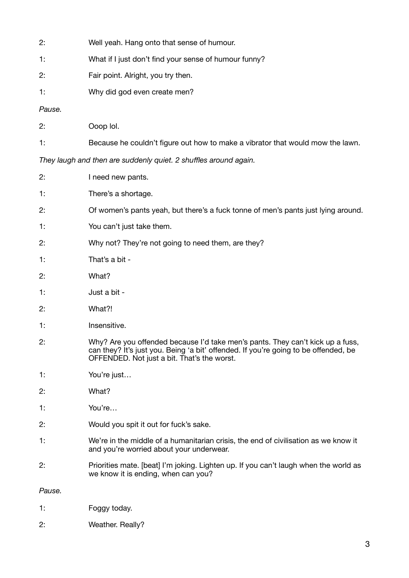| 2: | Well yeah. Hang onto that sense of humour.            |
|----|-------------------------------------------------------|
| 1: | What if I just don't find your sense of humour funny? |
| 2: | Fair point. Alright, you try then.                    |
| 1: | Why did god even create men?                          |

### *Pause.*

1: Because he couldn't figure out how to make a vibrator that would mow the lawn.

*They laugh and then are suddenly quiet. 2 shuffles around again.* 

- 2: I need new pants.
- 1: There's a shortage.
- 2: Of women's pants yeah, but there's a fuck tonne of men's pants just lying around.
- 1: You can't just take them.
- 2: Why not? They're not going to need them, are they?
- 1: That's a bit -
- 2: What?
- 1: Just a bit -
- 2: What?!
- 1: Insensitive.
- 2: Why? Are you offended because I'd take men's pants. They can't kick up a fuss, can they? It's just you. Being 'a bit' offended. If you're going to be offended, be OFFENDED. Not just a bit. That's the worst.
- 1: **You're just...**
- 2: What?
- 1: You're...
- 2: Would you spit it out for fuck's sake.
- 1: We're in the middle of a humanitarian crisis, the end of civilisation as we know it and you're worried about your underwear.
- 2: Priorities mate. [beat] I'm joking. Lighten up. If you can't laugh when the world as we know it is ending, when can you?

### *Pause.*

- 1: Foggy today.
- 2: Weather. Really?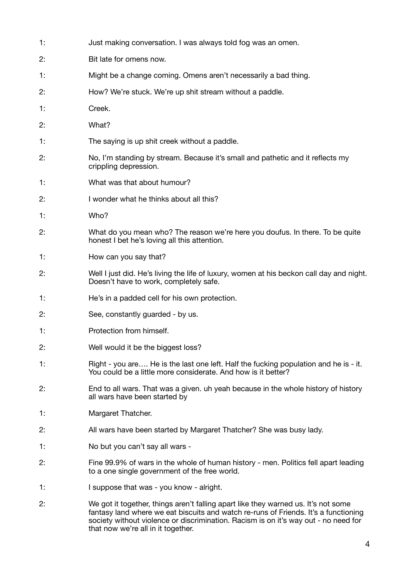1: Just making conversation. I was always told fog was an omen. 2: Bit late for omens now. 1: Might be a change coming. Omens aren't necessarily a bad thing. 2: How? We're stuck. We're up shit stream without a paddle. 1: Creek. 2: What? 1: The saying is up shit creek without a paddle. 2: No, I'm standing by stream. Because it's small and pathetic and it reflects my crippling depression. 1: What was that about humour? 2: I wonder what he thinks about all this?  $1:$  Who? 2: What do you mean who? The reason we're here you doufus. In there. To be quite honest I bet he's loving all this attention. 1: How can you say that? 2: Well I just did. He's living the life of luxury, women at his beckon call day and night. Doesn't have to work, completely safe. 1: He's in a padded cell for his own protection. 2: See, constantly guarded - by us. 1: Protection from himself. 2: Well would it be the biggest loss? 1: Right - you are.... He is the last one left. Half the fucking population and he is - it. You could be a little more considerate. And how is it better? 2: End to all wars. That was a given. uh yeah because in the whole history of history all wars have been started by 1: Margaret Thatcher. 2: All wars have been started by Margaret Thatcher? She was busy lady. 1: No but you can't say all wars -2: Fine 99.9% of wars in the whole of human history - men. Politics fell apart leading to a one single government of the free world. 1: I suppose that was - you know - alright. 2: We got it together, things aren't falling apart like they warned us. It's not some fantasy land where we eat biscuits and watch re-runs of Friends. It's a functioning society without violence or discrimination. Racism is on it's way out - no need for

 that now we're all in it together.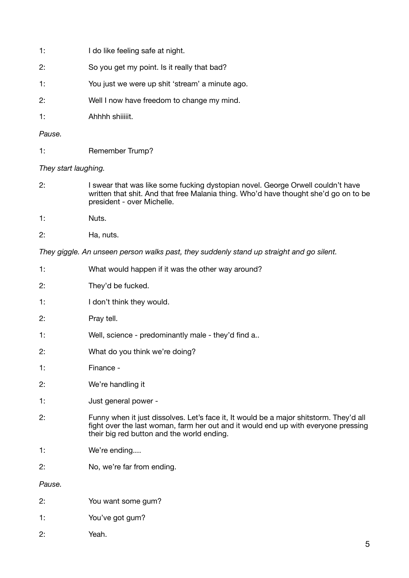| 1: | I do like feeling safe at night.                |
|----|-------------------------------------------------|
| 2: | So you get my point. Is it really that bad?     |
| 1: | You just we were up shit 'stream' a minute ago. |
| 2. | Well I now have freedom to change my mind.      |
|    |                                                 |

1: Ahhhh shiiiiit.

# *Pause.*

1: Remember Trump?

## *They start laughing.*

- 2: I swear that was like some fucking dystopian novel. George Orwell couldn't have written that shit. And that free Malania thing. Who'd have thought she'd go on to be president - over Michelle.
- 1: Nuts.
- 2: Ha, nuts.

*They giggle. An unseen person walks past, they suddenly stand up straight and go silent.* 

| 1:     | What would happen if it was the other way around?                                                                                                                                                                          |
|--------|----------------------------------------------------------------------------------------------------------------------------------------------------------------------------------------------------------------------------|
| 2:     | They'd be fucked.                                                                                                                                                                                                          |
| 1:     | I don't think they would.                                                                                                                                                                                                  |
| 2:     | Pray tell.                                                                                                                                                                                                                 |
| 1:     | Well, science - predominantly male - they'd find a                                                                                                                                                                         |
| 2:     | What do you think we're doing?                                                                                                                                                                                             |
| 1:     | Finance -                                                                                                                                                                                                                  |
| 2:     | We're handling it                                                                                                                                                                                                          |
| 1:     | Just general power -                                                                                                                                                                                                       |
| 2:     | Funny when it just dissolves. Let's face it, It would be a major shitstorm. They'd all<br>fight over the last woman, farm her out and it would end up with everyone pressing<br>their big red button and the world ending. |
| 1:     | We're ending                                                                                                                                                                                                               |
| 2:     | No, we're far from ending.                                                                                                                                                                                                 |
| Pause. |                                                                                                                                                                                                                            |
| 2:     | You want some gum?                                                                                                                                                                                                         |
| 1:     | You've got gum?                                                                                                                                                                                                            |
| 2:     | Yeah.                                                                                                                                                                                                                      |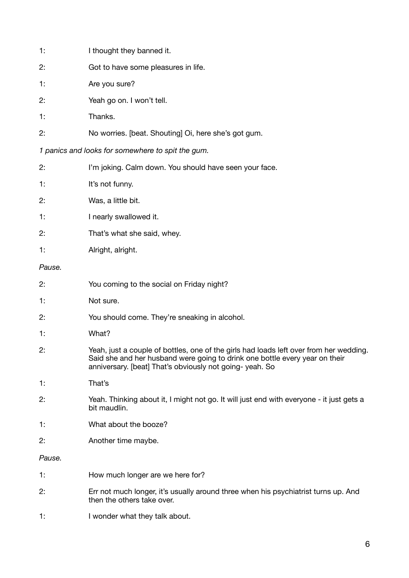| 1:                                                | I thought they banned it.                            |
|---------------------------------------------------|------------------------------------------------------|
| 2:                                                | Got to have some pleasures in life.                  |
| 1:                                                | Are you sure?                                        |
| 2:                                                | Yeah go on. I won't tell.                            |
| 1:                                                | Thanks.                                              |
| 2:                                                | No worries. [beat. Shouting] Oi, here she's got gum. |
| 1 panics and looks for somewhere to spit the gum. |                                                      |

2: I'm joking. Calm down. You should have seen your face.

| 1:     | It's not funny.                                                                                                                                                                                                                  |
|--------|----------------------------------------------------------------------------------------------------------------------------------------------------------------------------------------------------------------------------------|
| 2:     | Was, a little bit.                                                                                                                                                                                                               |
| 1:     | I nearly swallowed it.                                                                                                                                                                                                           |
| 2:     | That's what she said, whey.                                                                                                                                                                                                      |
| 1:     | Alright, alright.                                                                                                                                                                                                                |
| Pause. |                                                                                                                                                                                                                                  |
| 2:     | You coming to the social on Friday night?                                                                                                                                                                                        |
| 1:     | Not sure.                                                                                                                                                                                                                        |
| 2:     | You should come. They're sneaking in alcohol.                                                                                                                                                                                    |
| 1:     | What?                                                                                                                                                                                                                            |
| 2:     | Yeah, just a couple of bottles, one of the girls had loads left over from her wedding.<br>Said she and her husband were going to drink one bottle every year on their<br>anniversary. [beat] That's obviously not going-yeah. So |
| 1:     | That's                                                                                                                                                                                                                           |
| 2:     | Yeah. Thinking about it, I might not go. It will just end with everyone - it just gets a<br>bit maudlin.                                                                                                                         |
| 1:     | What about the booze?                                                                                                                                                                                                            |
| 2:     | Another time maybe.                                                                                                                                                                                                              |
| Pause. |                                                                                                                                                                                                                                  |

| Err not much longer, it's usually around three when his psychiatrist turns up. And |
|------------------------------------------------------------------------------------|
| then the others take over.                                                         |

1: I wonder what they talk about.

1: How much longer are we here for?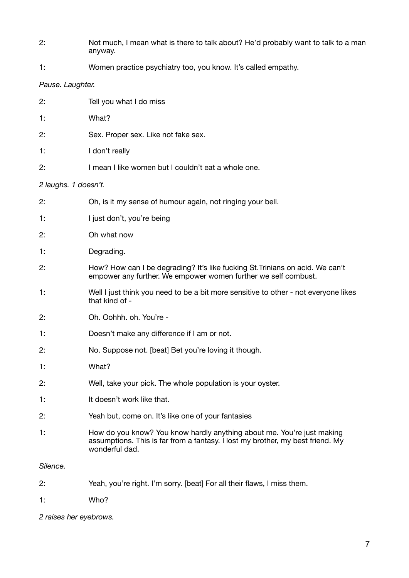- 2: Not much, I mean what is there to talk about? He'd probably want to talk to a man anyway.
- 1: Women practice psychiatry too, you know. It's called empathy.

### *Pause. Laughter.*

| 2:                   | Tell you what I do miss                                                                                                                         |  |
|----------------------|-------------------------------------------------------------------------------------------------------------------------------------------------|--|
| 1:                   | What?                                                                                                                                           |  |
| 2:                   | Sex. Proper sex. Like not fake sex.                                                                                                             |  |
| 1:                   | I don't really                                                                                                                                  |  |
| 2:                   | I mean I like women but I couldn't eat a whole one.                                                                                             |  |
| 2 laughs. 1 doesn't. |                                                                                                                                                 |  |
| 2:                   | Oh, is it my sense of humour again, not ringing your bell.                                                                                      |  |
| 1:                   | I just don't, you're being                                                                                                                      |  |
| 2:                   | Oh what now                                                                                                                                     |  |
| 1:                   | Degrading.                                                                                                                                      |  |
| 2:                   | How? How can I be degrading? It's like fucking St. Trinians on acid. We can't<br>empower any further. We empower women further we self combust. |  |
| 1:                   | Well I just think you need to be a bit more sensitive to other - not everyone likes<br>that kind of -                                           |  |
| 2:                   | Oh. Oohhh. oh. You're -                                                                                                                         |  |
| 1:                   | Doesn't make any difference if I am or not.                                                                                                     |  |
| 2:                   | No. Suppose not. [beat] Bet you're loving it though.                                                                                            |  |
| 1:                   | What?                                                                                                                                           |  |
| 2:                   | Well, take your pick. The whole population is your oyster.                                                                                      |  |
| 1:                   | It doesn't work like that.                                                                                                                      |  |

- 2: Yeah but, come on. It's like one of your fantasies
- 1: How do you know? You know hardly anything about me. You're just making assumptions. This is far from a fantasy. I lost my brother, my best friend. My wonderful dad.

### *Silence.*

- 2: Yeah, you're right. I'm sorry. [beat] For all their flaws, I miss them.
- 1: Who?

*2 raises her eyebrows.*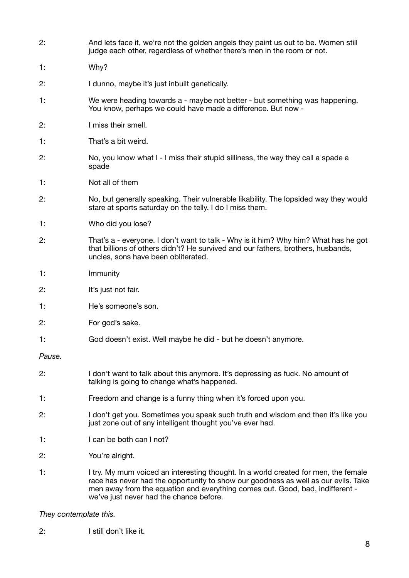| 2:     | And lets face it, we're not the golden angels they paint us out to be. Women still<br>judge each other, regardless of whether there's men in the room or not.                                                                                                                                         |
|--------|-------------------------------------------------------------------------------------------------------------------------------------------------------------------------------------------------------------------------------------------------------------------------------------------------------|
| 1:     | Why?                                                                                                                                                                                                                                                                                                  |
| 2:     | I dunno, maybe it's just inbuilt genetically.                                                                                                                                                                                                                                                         |
| 1:     | We were heading towards a - maybe not better - but something was happening.<br>You know, perhaps we could have made a difference. But now -                                                                                                                                                           |
| 2:     | I miss their smell.                                                                                                                                                                                                                                                                                   |
| 1:     | That's a bit weird.                                                                                                                                                                                                                                                                                   |
| 2:     | No, you know what I - I miss their stupid silliness, the way they call a spade a<br>spade                                                                                                                                                                                                             |
| 1:     | Not all of them                                                                                                                                                                                                                                                                                       |
| 2:     | No, but generally speaking. Their vulnerable likability. The lopsided way they would<br>stare at sports saturday on the telly. I do I miss them.                                                                                                                                                      |
| 1:     | Who did you lose?                                                                                                                                                                                                                                                                                     |
| 2:     | That's a - everyone. I don't want to talk - Why is it him? Why him? What has he got<br>that billions of others didn't? He survived and our fathers, brothers, husbands,<br>uncles, sons have been obliterated.                                                                                        |
| 1:     | Immunity                                                                                                                                                                                                                                                                                              |
| 2:     | It's just not fair.                                                                                                                                                                                                                                                                                   |
| 1:     | He's someone's son.                                                                                                                                                                                                                                                                                   |
| 2:     | For god's sake.                                                                                                                                                                                                                                                                                       |
| 1:     | God doesn't exist. Well maybe he did - but he doesn't anymore.                                                                                                                                                                                                                                        |
| Pause. |                                                                                                                                                                                                                                                                                                       |
| 2:     | I don't want to talk about this anymore. It's depressing as fuck. No amount of<br>talking is going to change what's happened.                                                                                                                                                                         |
| 1.     | Freedom and change is a funny thing when it's forced upon you.                                                                                                                                                                                                                                        |
| 2:     | I don't get you. Sometimes you speak such truth and wisdom and then it's like you<br>just zone out of any intelligent thought you've ever had.                                                                                                                                                        |
| 1.     | I can be both can I not?                                                                                                                                                                                                                                                                              |
| 2:     | You're alright.                                                                                                                                                                                                                                                                                       |
| 1:     | I try. My mum voiced an interesting thought. In a world created for men, the female<br>race has never had the opportunity to show our goodness as well as our evils. Take<br>men away from the equation and everything comes out. Good, bad, indifferent -<br>we've just never had the chance before. |

*They contemplate this.* 

2: I still don't like it.